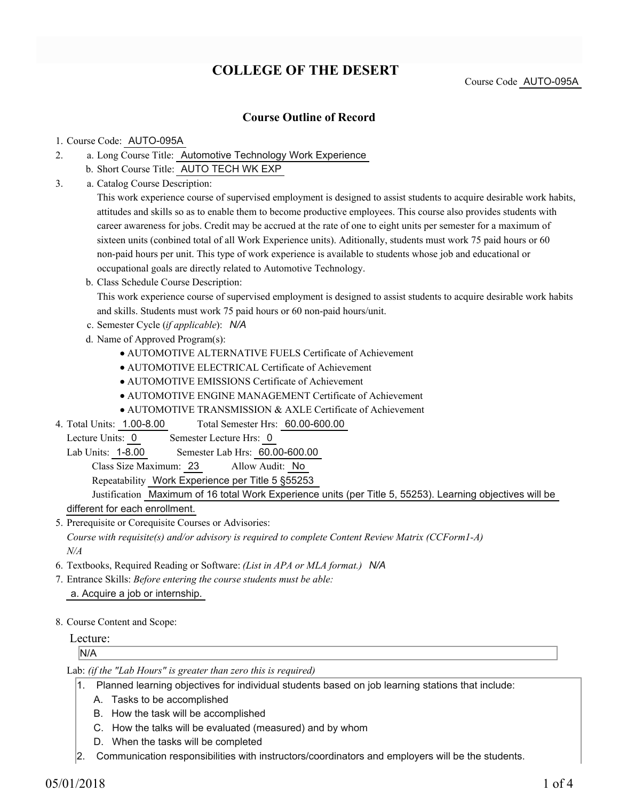## **COLLEGE OF THE DESERT**

Course Code AUTO-095A

### **Course Outline of Record**

#### 1. Course Code: AUTO-095A

- a. Long Course Title: Automotive Technology Work Experience 2.
	- b. Short Course Title: AUTO TECH WK EXP
- Catalog Course Description: a. 3.

This work experience course of supervised employment is designed to assist students to acquire desirable work habits, attitudes and skills so as to enable them to become productive employees. This course also provides students with career awareness for jobs. Credit may be accrued at the rate of one to eight units per semester for a maximum of sixteen units (conbined total of all Work Experience units). Aditionally, students must work 75 paid hours or 60 non-paid hours per unit. This type of work experience is available to students whose job and educational or occupational goals are directly related to Automotive Technology.

b. Class Schedule Course Description:

This work experience course of supervised employment is designed to assist students to acquire desirable work habits and skills. Students must work 75 paid hours or 60 non-paid hours/unit.

- c. Semester Cycle (*if applicable*): *N/A*
- d. Name of Approved Program(s):
	- AUTOMOTIVE ALTERNATIVE FUELS Certificate of Achievement
	- AUTOMOTIVE ELECTRICAL Certificate of Achievement
	- AUTOMOTIVE EMISSIONS Certificate of Achievement
	- AUTOMOTIVE ENGINE MANAGEMENT Certificate of Achievement
	- AUTOMOTIVE TRANSMISSION & AXLE Certificate of Achievement
- Total Semester Hrs: 60.00-600.00 4. Total Units: 1.00-8.00
- Lecture Units: 0 Semester Lecture Hrs: 0

Lab Units: 1-8.00 Semester Lab Hrs: 60.00-600.00

Class Size Maximum: 23 Allow Audit: No

Repeatability Work Experience per Title 5 §55253

Justification Maximum of 16 total Work Experience units (per Title 5, 55253). Learning objectives will be

different for each enrollment.

- 5. Prerequisite or Corequisite Courses or Advisories: *Course with requisite(s) and/or advisory is required to complete Content Review Matrix (CCForm1-A) N/A*
- 6. Textbooks, Required Reading or Software: *(List in APA or MLA format.) N/A*
- Entrance Skills: *Before entering the course students must be able:* 7.
	- a. Acquire a job or internship.
- 8. Course Content and Scope:

#### Lecture:

N/A

Lab: *(if the "Lab Hours" is greater than zero this is required)*

- 1. Planned learning objectives for individual students based on job learning stations that include:
	- A. Tasks to be accomplished
	- B. How the task will be accomplished
	- C. How the talks will be evaluated (measured) and by whom
	- D. When the tasks will be completed
- 2. Communication responsibilities with instructors/coordinators and employers will be the students.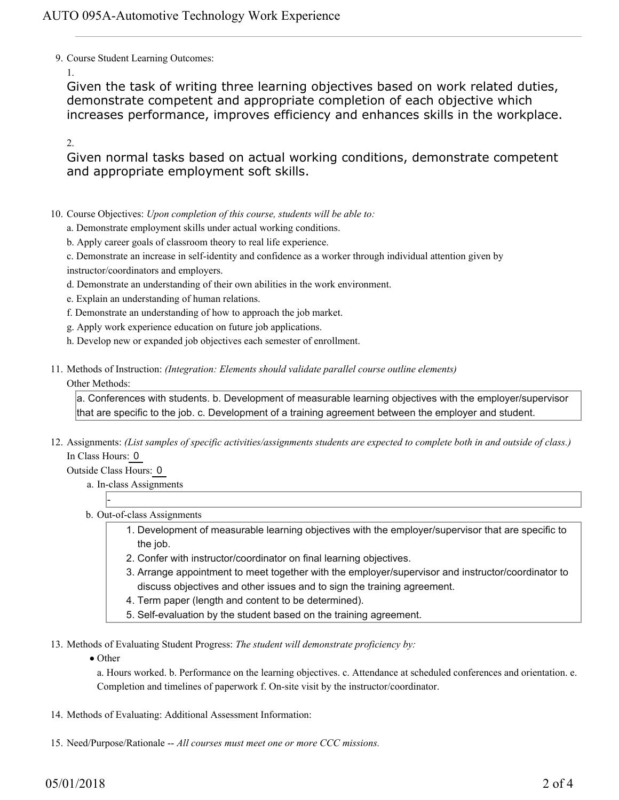9. Course Student Learning Outcomes:

1.

Given the task of writing three learning objectives based on work related duties, demonstrate competent and appropriate completion of each objective which increases performance, improves efficiency and enhances skills in the workplace.

2.

Given normal tasks based on actual working conditions, demonstrate competent and appropriate employment soft skills.

- 10. Course Objectives: Upon completion of this course, students will be able to:
	- a. Demonstrate employment skills under actual working conditions.
	- b. Apply career goals of classroom theory to real life experience.
	- c. Demonstrate an increase in self-identity and confidence as a worker through individual attention given by instructor/coordinators and employers.
	- d. Demonstrate an understanding of their own abilities in the work environment.
	- e. Explain an understanding of human relations.
	- f. Demonstrate an understanding of how to approach the job market.
	- g. Apply work experience education on future job applications.
	- h. Develop new or expanded job objectives each semester of enrollment.
- Methods of Instruction: *(Integration: Elements should validate parallel course outline elements)* 11. Other Methods:

a. Conferences with students. b. Development of measurable learning objectives with the employer/supervisor that are specific to the job. c. Development of a training agreement between the employer and student.

12. Assignments: (List samples of specific activities/assignments students are expected to complete both in and outside of class.) In Class Hours: 0

Outside Class Hours: 0

-

- a. In-class Assignments
- b. Out-of-class Assignments
	- 1. Development of measurable learning objectives with the employer/supervisor that are specific to the job.
	- 2. Confer with instructor/coordinator on final learning objectives.
	- Arrange appointment to meet together with the employer/supervisor and instructor/coordinator to 3. discuss objectives and other issues and to sign the training agreement.
	- 4. Term paper (length and content to be determined).
	- 5. Self-evaluation by the student based on the training agreement.

13. Methods of Evaluating Student Progress: The student will demonstrate proficiency by:

• Other

a. Hours worked. b. Performance on the learning objectives. c. Attendance at scheduled conferences and orientation. e. Completion and timelines of paperwork f. On-site visit by the instructor/coordinator.

- 14. Methods of Evaluating: Additional Assessment Information:
- 15. Need/Purpose/Rationale -- All courses must meet one or more CCC missions.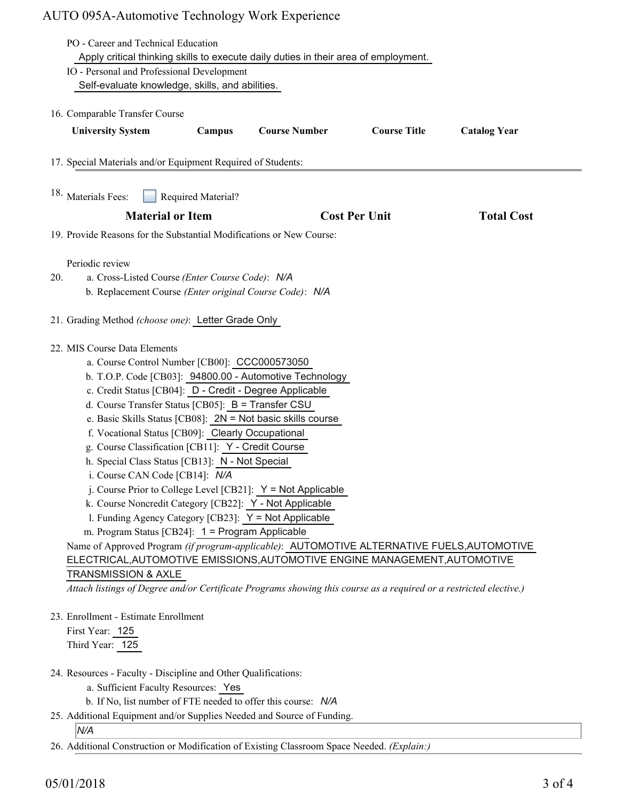# AUTO 095A-Automotive Technology Work Experience

|                                                              | PO - Career and Technical Education                                                                                |                         |                      |                      |                     |  |
|--------------------------------------------------------------|--------------------------------------------------------------------------------------------------------------------|-------------------------|----------------------|----------------------|---------------------|--|
|                                                              | Apply critical thinking skills to execute daily duties in their area of employment.                                |                         |                      |                      |                     |  |
|                                                              | IO - Personal and Professional Development                                                                         |                         |                      |                      |                     |  |
|                                                              | Self-evaluate knowledge, skills, and abilities.                                                                    |                         |                      |                      |                     |  |
| 16. Comparable Transfer Course                               |                                                                                                                    |                         |                      |                      |                     |  |
|                                                              | <b>University System</b>                                                                                           | Campus                  | <b>Course Number</b> | <b>Course Title</b>  | <b>Catalog Year</b> |  |
| 17. Special Materials and/or Equipment Required of Students: |                                                                                                                    |                         |                      |                      |                     |  |
|                                                              | <sup>18.</sup> Materials Fees:<br>Required Material?                                                               |                         |                      |                      |                     |  |
|                                                              |                                                                                                                    | <b>Material or Item</b> |                      | <b>Cost Per Unit</b> | <b>Total Cost</b>   |  |
|                                                              | 19. Provide Reasons for the Substantial Modifications or New Course:                                               |                         |                      |                      |                     |  |
|                                                              |                                                                                                                    |                         |                      |                      |                     |  |
|                                                              | Periodic review                                                                                                    |                         |                      |                      |                     |  |
| 20.                                                          | a. Cross-Listed Course (Enter Course Code): N/A                                                                    |                         |                      |                      |                     |  |
|                                                              | b. Replacement Course (Enter original Course Code): N/A                                                            |                         |                      |                      |                     |  |
|                                                              | 21. Grading Method (choose one): Letter Grade Only                                                                 |                         |                      |                      |                     |  |
|                                                              | 22. MIS Course Data Elements                                                                                       |                         |                      |                      |                     |  |
|                                                              | a. Course Control Number [CB00]: CCC000573050                                                                      |                         |                      |                      |                     |  |
|                                                              | b. T.O.P. Code [CB03]: 94800.00 - Automotive Technology                                                            |                         |                      |                      |                     |  |
|                                                              | c. Credit Status [CB04]: D - Credit - Degree Applicable                                                            |                         |                      |                      |                     |  |
|                                                              | d. Course Transfer Status [CB05]: B = Transfer CSU                                                                 |                         |                      |                      |                     |  |
|                                                              | e. Basic Skills Status [CB08]: $2N = Not basic skills course$                                                      |                         |                      |                      |                     |  |
|                                                              | f. Vocational Status [CB09]: Clearly Occupational                                                                  |                         |                      |                      |                     |  |
|                                                              | g. Course Classification [CB11]: Y - Credit Course                                                                 |                         |                      |                      |                     |  |
|                                                              | h. Special Class Status [CB13]: N - Not Special<br>i. Course CAN Code [CB14]: N/A                                  |                         |                      |                      |                     |  |
|                                                              | j. Course Prior to College Level [CB21]: $Y = Not$ Applicable                                                      |                         |                      |                      |                     |  |
|                                                              | k. Course Noncredit Category [CB22]: Y - Not Applicable                                                            |                         |                      |                      |                     |  |
|                                                              | 1. Funding Agency Category [CB23]: Y = Not Applicable                                                              |                         |                      |                      |                     |  |
|                                                              | m. Program Status [CB24]: 1 = Program Applicable                                                                   |                         |                      |                      |                     |  |
|                                                              | Name of Approved Program (if program-applicable): AUTOMOTIVE ALTERNATIVE FUELS, AUTOMOTIVE                         |                         |                      |                      |                     |  |
|                                                              | ELECTRICAL, AUTOMOTIVE EMISSIONS, AUTOMOTIVE ENGINE MANAGEMENT, AUTOMOTIVE                                         |                         |                      |                      |                     |  |
|                                                              | <b>TRANSMISSION &amp; AXLE</b>                                                                                     |                         |                      |                      |                     |  |
|                                                              | Attach listings of Degree and/or Certificate Programs showing this course as a required or a restricted elective.) |                         |                      |                      |                     |  |
|                                                              | 23. Enrollment - Estimate Enrollment                                                                               |                         |                      |                      |                     |  |
|                                                              | First Year: 125                                                                                                    |                         |                      |                      |                     |  |
| Third Year: 125                                              |                                                                                                                    |                         |                      |                      |                     |  |
|                                                              |                                                                                                                    |                         |                      |                      |                     |  |
|                                                              | 24. Resources - Faculty - Discipline and Other Qualifications:                                                     |                         |                      |                      |                     |  |
|                                                              | a. Sufficient Faculty Resources: Yes                                                                               |                         |                      |                      |                     |  |
|                                                              | b. If No, list number of FTE needed to offer this course: N/A                                                      |                         |                      |                      |                     |  |
|                                                              | 25. Additional Equipment and/or Supplies Needed and Source of Funding.                                             |                         |                      |                      |                     |  |

*N/A*

26. Additional Construction or Modification of Existing Classroom Space Needed. *(Explain:)*